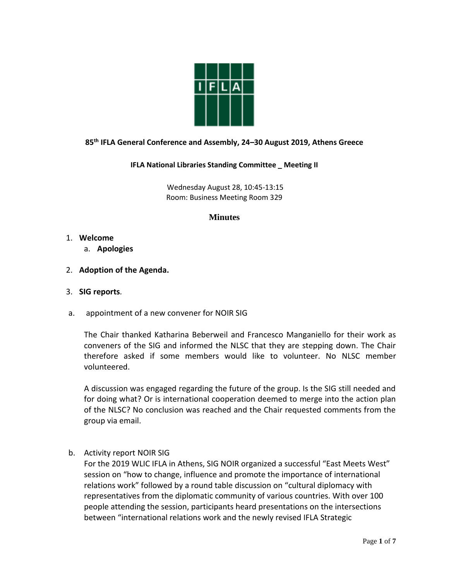

# **85th IFLA General Conference and Assembly, 24–30 August 2019, Athens Greece**

#### **IFLA National Libraries Standing Committee \_ Meeting II**

Wednesday August 28, 10:45-13:15 Room: Business Meeting Room 329

# **Minutes**

- 1. **Welcome**
	- a. **Apologies**
- 2. **Adoption of the Agenda.**
- 3. **SIG reports***.*
- a. appointment of a new convener for NOIR SIG

The Chair thanked Katharina Beberweil and Francesco Manganiello for their work as conveners of the SIG and informed the NLSC that they are stepping down. The Chair therefore asked if some members would like to volunteer. No NLSC member volunteered.

A discussion was engaged regarding the future of the group. Is the SIG still needed and for doing what? Or is international cooperation deemed to merge into the action plan of the NLSC? No conclusion was reached and the Chair requested comments from the group via email.

b. Activity report NOIR SIG

For the 2019 WLIC IFLA in Athens, SIG NOIR organized a successful "East Meets West" session on "how to change, influence and promote the importance of international relations work" followed by a round table discussion on "cultural diplomacy with representatives from the diplomatic community of various countries. With over 100 people attending the session, participants heard presentations on the intersections between "international relations work and the newly revised IFLA Strategic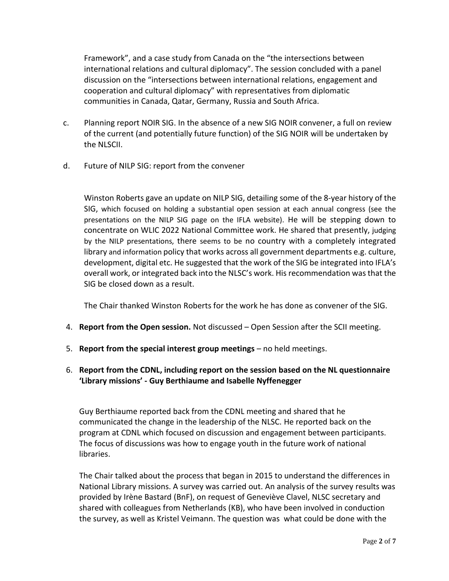Framework", and a case study from Canada on the "the intersections between international relations and cultural diplomacy". The session concluded with a panel discussion on the "intersections between international relations, engagement and cooperation and cultural diplomacy" with representatives from diplomatic communities in Canada, Qatar, Germany, Russia and South Africa.

- c. Planning report NOIR SIG. In the absence of a new SIG NOIR convener, a full on review of the current (and potentially future function) of the SIG NOIR will be undertaken by the NLSCII.
- d. Future of NILP SIG: report from the convener

Winston Roberts gave an update on NILP SIG, detailing some of the 8-year history of the SIG, which focused on holding a substantial open session at each annual congress (see the presentations on the NILP SIG page on the IFLA website). He will be stepping down to concentrate on WLIC 2022 National Committee work. He shared that presently, judging by the NILP presentations, there seems to be no country with a completely integrated library and information policy that works across all government departments e.g. culture, development, digital etc. He suggested that the work of the SIG be integrated into IFLA's overall work, or integrated back into the NLSC's work. His recommendation was that the SIG be closed down as a result.

The Chair thanked Winston Roberts for the work he has done as convener of the SIG.

- 4. **Report from the Open session.** Not discussed Open Session after the SCII meeting.
- 5. **Report from the special interest group meetings** no held meetings.

# 6. **Report from the CDNL, including report on the session based on the NL questionnaire 'Library missions' - Guy Berthiaume and Isabelle Nyffenegger**

Guy Berthiaume reported back from the CDNL meeting and shared that he communicated the change in the leadership of the NLSC. He reported back on the program at CDNL which focused on discussion and engagement between participants. The focus of discussions was how to engage youth in the future work of national libraries.

The Chair talked about the process that began in 2015 to understand the differences in National Library missions. A survey was carried out. An analysis of the survey results was provided by Irène Bastard (BnF), on request of Geneviève Clavel, NLSC secretary and shared with colleagues from Netherlands (KB), who have been involved in conduction the survey, as well as Kristel Veimann. The question was what could be done with the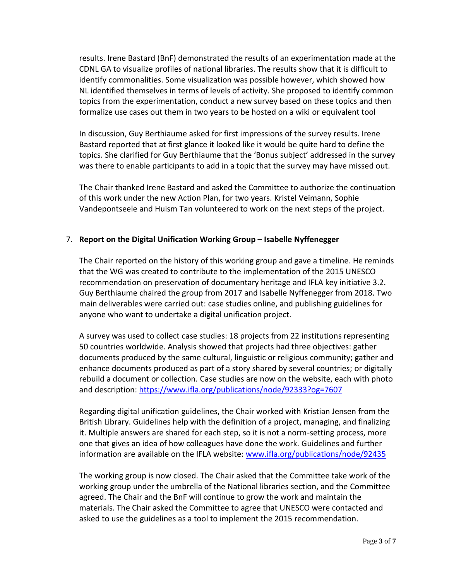results. Irene Bastard (BnF) demonstrated the results of an experimentation made at the CDNL GA to visualize profiles of national libraries. The results show that it is difficult to identify commonalities. Some visualization was possible however, which showed how NL identified themselves in terms of levels of activity. She proposed to identify common topics from the experimentation, conduct a new survey based on these topics and then formalize use cases out them in two years to be hosted on a wiki or equivalent tool

In discussion, Guy Berthiaume asked for first impressions of the survey results. Irene Bastard reported that at first glance it looked like it would be quite hard to define the topics. She clarified for Guy Berthiaume that the 'Bonus subject' addressed in the survey was there to enable participants to add in a topic that the survey may have missed out.

The Chair thanked Irene Bastard and asked the Committee to authorize the continuation of this work under the new Action Plan, for two years. Kristel Veimann, Sophie Vandepontseele and Huism Tan volunteered to work on the next steps of the project.

# 7. **Report on the Digital Unification Working Group – Isabelle Nyffenegger**

The Chair reported on the history of this working group and gave a timeline. He reminds that the WG was created to contribute to the implementation of the 2015 UNESCO recommendation on preservation of documentary heritage and IFLA key initiative 3.2. Guy Berthiaume chaired the group from 2017 and Isabelle Nyffenegger from 2018. Two main deliverables were carried out: case studies online, and publishing guidelines for anyone who want to undertake a digital unification project.

A survey was used to collect case studies: 18 projects from 22 institutions representing 50 countries worldwide. Analysis showed that projects had three objectives: gather documents produced by the same cultural, linguistic or religious community; gather and enhance documents produced as part of a story shared by several countries; or digitally rebuild a document or collection. Case studies are now on the website, each with photo and description[: https://www.ifla.org/publications/node/92333?og=7607](https://www.ifla.org/publications/node/92333?og=7607)

Regarding digital unification guidelines, the Chair worked with Kristian Jensen from the British Library. Guidelines help with the definition of a project, managing, and finalizing it. Multiple answers are shared for each step, so it is not a norm-setting process, more one that gives an idea of how colleagues have done the work. Guidelines and further information are available on the IFLA website: [www.ifla.org/publications/node/92435](http://www.ifla.org/publications/node/92435)

The working group is now closed. The Chair asked that the Committee take work of the working group under the umbrella of the National libraries section, and the Committee agreed. The Chair and the BnF will continue to grow the work and maintain the materials. The Chair asked the Committee to agree that UNESCO were contacted and asked to use the guidelines as a tool to implement the 2015 recommendation.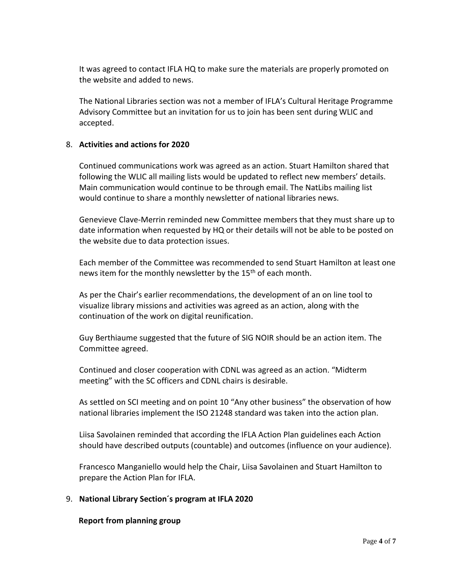It was agreed to contact IFLA HQ to make sure the materials are properly promoted on the website and added to news.

The National Libraries section was not a member of IFLA's Cultural Heritage Programme Advisory Committee but an invitation for us to join has been sent during WLIC and accepted.

# 8. **Activities and actions for 2020**

Continued communications work was agreed as an action. Stuart Hamilton shared that following the WLIC all mailing lists would be updated to reflect new members' details. Main communication would continue to be through email. The NatLibs mailing list would continue to share a monthly newsletter of national libraries news.

Genevieve Clave-Merrin reminded new Committee members that they must share up to date information when requested by HQ or their details will not be able to be posted on the website due to data protection issues.

Each member of the Committee was recommended to send Stuart Hamilton at least one news item for the monthly newsletter by the 15<sup>th</sup> of each month.

As per the Chair's earlier recommendations, the development of an on line tool to visualize library missions and activities was agreed as an action, along with the continuation of the work on digital reunification.

Guy Berthiaume suggested that the future of SIG NOIR should be an action item. The Committee agreed.

Continued and closer cooperation with CDNL was agreed as an action. "Midterm meeting" with the SC officers and CDNL chairs is desirable.

As settled on SCI meeting and on point 10 "Any other business" the observation of how national libraries implement the ISO 21248 standard was taken into the action plan.

Liisa Savolainen reminded that according the IFLA Action Plan guidelines each Action should have described outputs (countable) and outcomes (influence on your audience).

Francesco Manganiello would help the Chair, Liisa Savolainen and Stuart Hamilton to prepare the Action Plan for IFLA.

# 9. **National Library Section´s program at IFLA 2020**

#### **Report from planning group**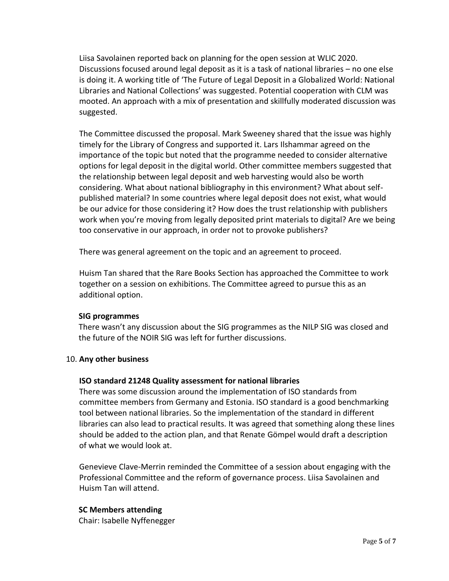Liisa Savolainen reported back on planning for the open session at WLIC 2020. Discussions focused around legal deposit as it is a task of national libraries – no one else is doing it. A working title of 'The Future of Legal Deposit in a Globalized World: National Libraries and National Collections' was suggested. Potential cooperation with CLM was mooted. An approach with a mix of presentation and skillfully moderated discussion was suggested.

The Committee discussed the proposal. Mark Sweeney shared that the issue was highly timely for the Library of Congress and supported it. Lars Ilshammar agreed on the importance of the topic but noted that the programme needed to consider alternative options for legal deposit in the digital world. Other committee members suggested that the relationship between legal deposit and web harvesting would also be worth considering. What about national bibliography in this environment? What about selfpublished material? In some countries where legal deposit does not exist, what would be our advice for those considering it? How does the trust relationship with publishers work when you're moving from legally deposited print materials to digital? Are we being too conservative in our approach, in order not to provoke publishers?

There was general agreement on the topic and an agreement to proceed.

Huism Tan shared that the Rare Books Section has approached the Committee to work together on a session on exhibitions. The Committee agreed to pursue this as an additional option.

#### **SIG programmes**

There wasn't any discussion about the SIG programmes as the NILP SIG was closed and the future of the NOIR SIG was left for further discussions.

# 10. **Any other business**

# **ISO standard 21248 Quality assessment for national libraries**

There was some discussion around the implementation of ISO standards from committee members from Germany and Estonia. ISO standard is a good benchmarking tool between national libraries. So the implementation of the standard in different libraries can also lead to practical results. It was agreed that something along these lines should be added to the action plan, and that Renate Gömpel would draft a description of what we would look at.

Genevieve Clave-Merrin reminded the Committee of a session about engaging with the Professional Committee and the reform of governance process. Liisa Savolainen and Huism Tan will attend.

# **SC Members attending**

Chair: Isabelle Nyffenegger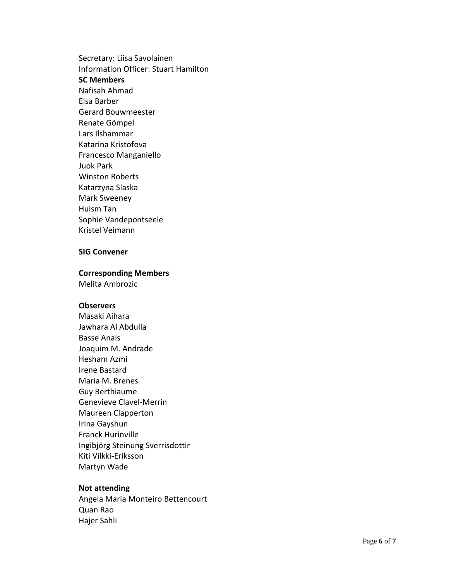Secretary: Liisa Savolainen Information Officer: Stuart Hamilton **SC Members** Nafisah Ahmad Elsa Barber Gerard Bouwmeester Renate Gömpel Lars Ilshammar Katarina Kristofova Francesco Manganiello Juok Park Winston Roberts Katarzyna Slaska Mark Sweeney Huism Tan Sophie Vandepontseele Kristel Veimann

#### **SIG Convener**

#### **Corresponding Members**

Melita Ambrozic

#### **Observers**

Masaki Aihara Jawhara Al Abdulla Basse Anais Joaquim M. Andrade Hesham Azmi Irene Bastard Maria M. Brenes Guy Berthiaume Genevieve Clavel -Merrin Maureen Clapperton Irina Gayshun Franck Hurinville Ingibjörg Steinung Sverrisdottir Kiti Vilkki -Eriksson Martyn Wade

#### **Not attending**

Angela Maria Monteiro Bettencourt Quan Rao Hajer Sahli